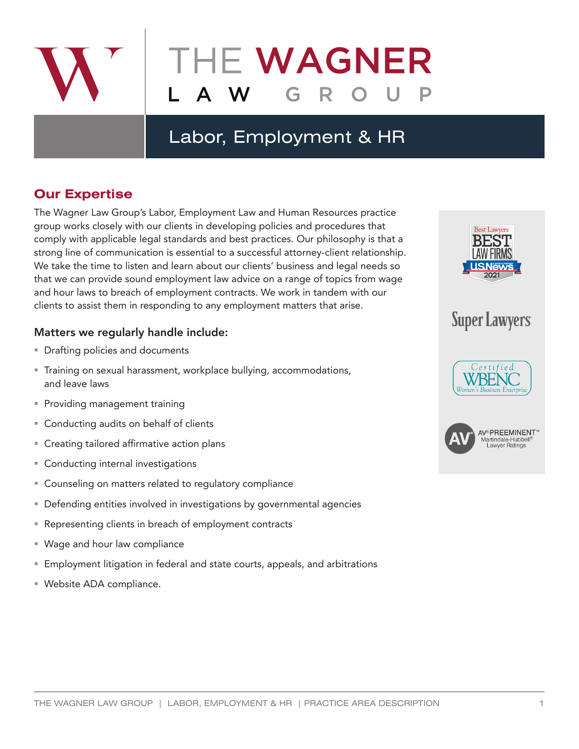

## Labor, Employment & HR

### **Our Expertise**

The Wagner Law Group's Labor, Employment Law and Human Resources practice group works closely with our clients in developing policies and procedures that comply with applicable legal standards and best practices. Our philosophy is that a strong line of communication is essential to a successful attorney-client relationship. We take the time to listen and learn about our clients' business and legal needs so that we can provide sound employment law advice on a range of topics from wage and hour laws to breach of employment contracts. We work in tandem with our clients to assist them in responding to any employment matters that arise.

### Matters we regularly handle include:

- **Drafting policies and documents**
- Training on sexual harassment, workplace bullying, accommodations, and leave laws
- **Providing management training**
- Conducting audits on behalf of clients
- Creating tailored affirmative action plans
- **Conducting internal investigations**
- Counseling on matters related to regulatory compliance
- Defending entities involved in investigations by governmental agencies
- Representing clients in breach of employment contracts
- Wage and hour law compliance
- Employment litigation in federal and state courts, appeals, and arbitrations
- Website ADA compliance.



# **Super Lawyers**